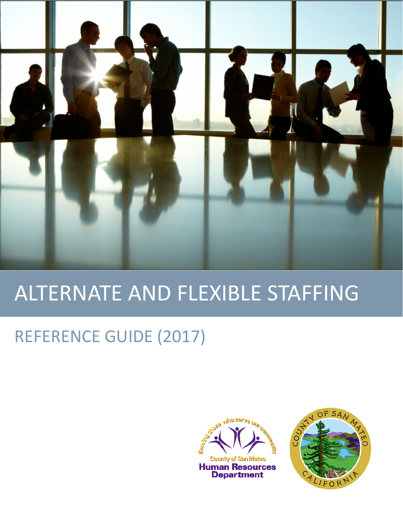

# ALTERNATE AND FLEXIBLE STAFFING

# REFERENCE GUIDE (2017)



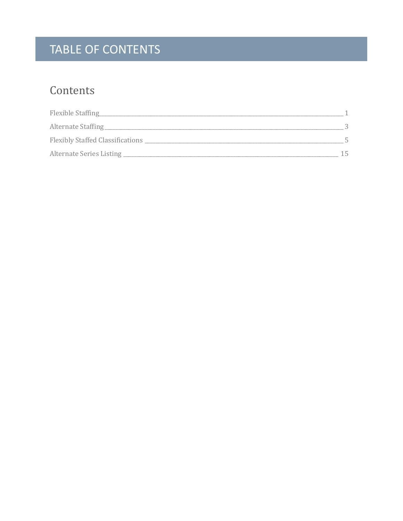# TABLE OF CONTENTS

### Contents

| Flexible Staffing                |     |
|----------------------------------|-----|
| Alternate Staffing               |     |
| Flexibly Staffed Classifications |     |
| Alternate Series Listing         | 15. |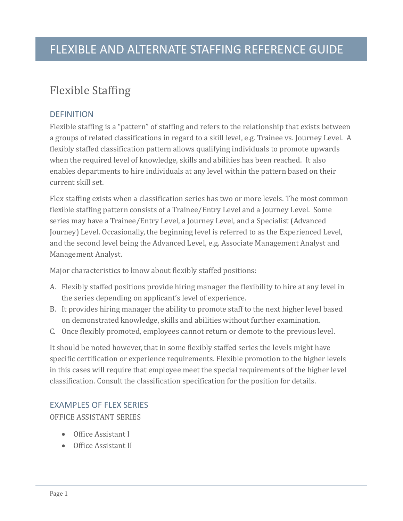### <span id="page-2-0"></span>Flexible Staffing

#### **DEFINITION**

Flexible staffing is a "pattern" of staffing and refers to the relationship that exists between a groups of related classifications in regard to a skill level, e.g. Trainee vs. Journey Level. A flexibly staffed classification pattern allows qualifying individuals to promote upwards when the required level of knowledge, skills and abilities has been reached. It also enables departments to hire individuals at any level within the pattern based on their current skill set.

Flex staffing exists when a classification series has two or more levels. The most common flexible staffing pattern consists of a Trainee/Entry Level and a Journey Level. Some series may have a Trainee/Entry Level, a Journey Level, and a Specialist (Advanced Journey) Level. Occasionally, the beginning level is referred to as the Experienced Level, and the second level being the Advanced Level, e.g. Associate Management Analyst and Management Analyst.

Major characteristics to know about flexibly staffed positions:

- A. Flexibly staffed positions provide hiring manager the flexibility to hire at any level in the series depending on applicant's level of experience.
- B. It provides hiring manager the ability to promote staff to the next higher level based on demonstrated knowledge, skills and abilities without further examination.
- C. Once flexibly promoted, employees cannot return or demote to the previous level.

It should be noted however, that in some flexibly staffed series the levels might have specific certification or experience requirements. Flexible promotion to the higher levels in this cases will require that employee meet the special requirements of the higher level classification. Consult the classification specification for the position for details.

#### EXAMPLES OF FLEX SERIES

OFFICE ASSISTANT SERIES

- Office Assistant I
- Office Assistant II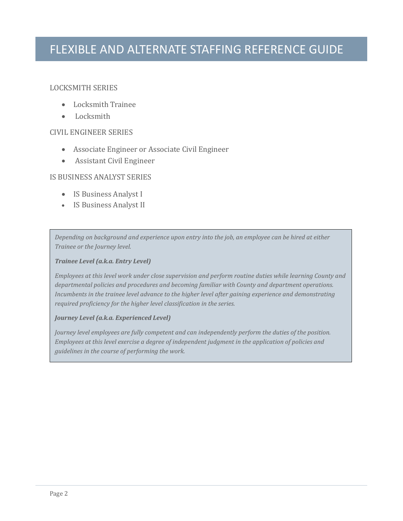#### LOCKSMITH SERIES

- Locksmith Trainee
- Locksmith

#### CIVIL ENGINEER SERIES

- Associate Engineer or Associate Civil Engineer
- Assistant Civil Engineer

#### IS BUSINESS ANALYST SERIES

- IS Business Analyst I
- IS Business Analyst II

*Depending on background and experience upon entry into the job, an employee can be hired at either Trainee or the Journey level.*

#### *Trainee Level (a.k.a. Entry Level)*

*Employees at this level work under close supervision and perform routine duties while learning County and departmental policies and procedures and becoming familiar with County and department operations. Incumbents in the trainee level advance to the higher level after gaining experience and demonstrating required proficiency for the higher level classification in the series.*

#### *Journey Level (a.k.a. Experienced Level)*

*Journey level employees are fully competent and can independently perform the duties of the position. Employees at this level exercise a degree of independent judgment in the application of policies and guidelines in the course of performing the work.*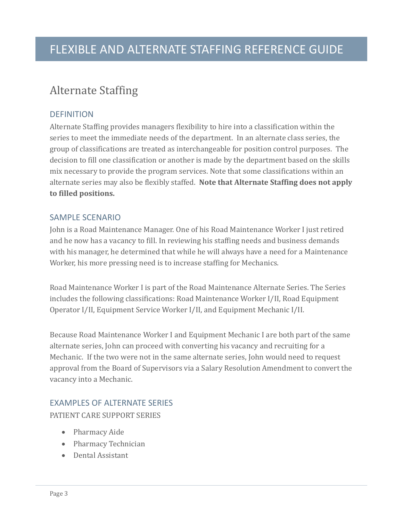#### <span id="page-4-0"></span>Alternate Staffing

#### **DEFINITION**

Alternate Staffing provides managers flexibility to hire into a classification within the series to meet the immediate needs of the department. In an alternate class series, the group of classifications are treated as interchangeable for position control purposes. The decision to fill one classification or another is made by the department based on the skills mix necessary to provide the program services. Note that some classifications within an alternate series may also be flexibly staffed. **Note that Alternate Staffing does not apply to filled positions.**

#### SAMPLE SCENARIO

John is a Road Maintenance Manager. One of his Road Maintenance Worker I just retired and he now has a vacancy to fill. In reviewing his staffing needs and business demands with his manager, he determined that while he will always have a need for a Maintenance Worker, his more pressing need is to increase staffing for Mechanics.

Road Maintenance Worker I is part of the Road Maintenance Alternate Series. The Series includes the following classifications: Road Maintenance Worker I/II, Road Equipment Operator I/II, Equipment Service Worker I/II, and Equipment Mechanic I/II.

Because Road Maintenance Worker I and Equipment Mechanic I are both part of the same alternate series, John can proceed with converting his vacancy and recruiting for a Mechanic. If the two were not in the same alternate series, John would need to request approval from the Board of Supervisors via a Salary Resolution Amendment to convert the vacancy into a Mechanic.

#### EXAMPLES OF ALTERNATE SERIES

PATIENT CARE SUPPORT SERIES

- Pharmacy Aide
- Pharmacy Technician
- Dental Assistant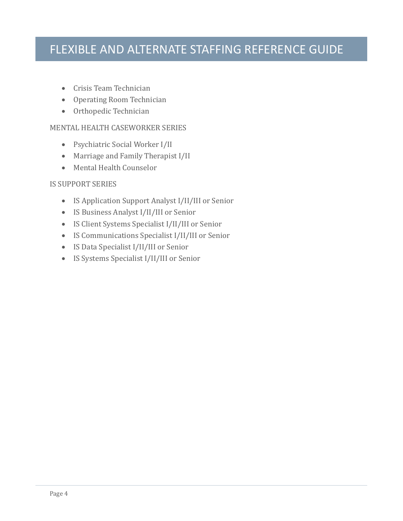- Crisis Team Technician
- Operating Room Technician
- Orthopedic Technician

#### MENTAL HEALTH CASEWORKER SERIES

- Psychiatric Social Worker I/II
- Marriage and Family Therapist I/II
- Mental Health Counselor

#### IS SUPPORT SERIES

- IS Application Support Analyst I/II/III or Senior
- IS Business Analyst I/II/III or Senior
- IS Client Systems Specialist I/II/III or Senior
- IS Communications Specialist I/II/III or Senior
- IS Data Specialist I/II/III or Senior
- IS Systems Specialist I/II/III or Senior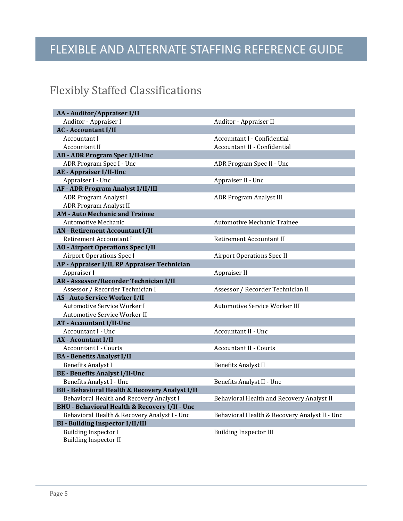### <span id="page-6-0"></span>Flexibly Staffed Classifications

| <b>AA</b> - Auditor/Appraiser I/II                          |                                               |
|-------------------------------------------------------------|-----------------------------------------------|
| Auditor - Appraiser I                                       | Auditor - Appraiser II                        |
| <b>AC - Accountant I/II</b>                                 |                                               |
| Accountant I                                                | Accountant I - Confidential                   |
| Accountant II                                               | <b>Accountant II - Confidential</b>           |
| <b>AD - ADR Program Spec I/II-Unc</b>                       |                                               |
| ADR Program Spec I - Unc                                    | ADR Program Spec II - Unc                     |
| <b>AE</b> - Appraiser I/II-Unc                              |                                               |
| Appraiser I - Unc                                           | Appraiser II - Unc                            |
| <b>AF - ADR Program Analyst I/II/III</b>                    |                                               |
| <b>ADR Program Analyst I</b>                                | <b>ADR Program Analyst III</b>                |
| ADR Program Analyst II                                      |                                               |
| <b>AM - Auto Mechanic and Trainee</b>                       |                                               |
| <b>Automotive Mechanic</b>                                  | Automotive Mechanic Trainee                   |
| <b>AN</b> - Retirement Accountant I/II                      |                                               |
| Retirement Accountant I                                     | Retirement Accountant II                      |
| <b>AO - Airport Operations Spec I/II</b>                    |                                               |
| <b>Airport Operations Spec I</b>                            | <b>Airport Operations Spec II</b>             |
| AP - Appraiser I/II, RP Appraiser Technician                |                                               |
| Appraiser I                                                 | Appraiser II                                  |
| AR - Assessor/Recorder Technician I/II                      |                                               |
| Assessor / Recorder Technician I                            | Assessor / Recorder Technician II             |
| <b>AS - Auto Service Worker I/II</b>                        |                                               |
| Automotive Service Worker I                                 | Automotive Service Worker III                 |
| Automotive Service Worker II                                |                                               |
| <b>AT - Accountant I/II-Unc</b>                             |                                               |
| Accountant I - Unc                                          | <b>Accountant II - Unc</b>                    |
| <b>AX</b> - Acountant I/II                                  |                                               |
| <b>Accountant I - Courts</b>                                | Accountant II - Courts                        |
| <b>BA</b> - Benefits Analyst I/II                           |                                               |
| <b>Benefits Analyst I</b>                                   | <b>Benefits Analyst II</b>                    |
| <b>BE - Benefits Analyst I/II-Unc</b>                       |                                               |
| Benefits Analyst I - Unc                                    | Benefits Analyst II - Unc                     |
| <b>BH</b> - Behavioral Health & Recovery Analyst I/II       |                                               |
| Behavioral Health and Recovery Analyst I                    | Behavioral Health and Recovery Analyst II     |
| <b>BHU - Behavioral Health &amp; Recovery I/II - Unc</b>    |                                               |
| Behavioral Health & Recovery Analyst I - Unc                | Behavioral Health & Recovery Analyst II - Unc |
| <b>BI - Building Inspector I/II/III</b>                     |                                               |
| <b>Building Inspector I</b><br><b>Building Inspector II</b> | <b>Building Inspector III</b>                 |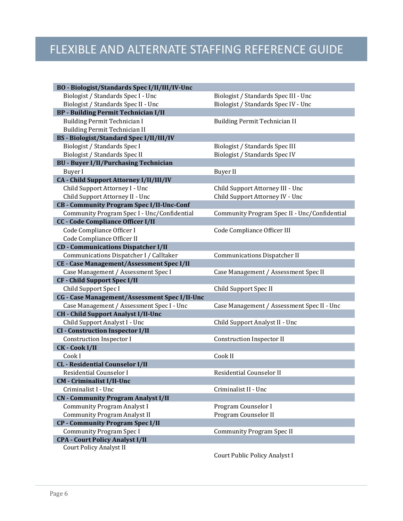| BO - Biologist/Standards Spec I/II/III/IV-Unc    |                 |
|--------------------------------------------------|-----------------|
| Biologist / Standards Spec I - Unc               | <b>Biologis</b> |
| Biologist / Standards Spec II - Unc              | Biologis        |
| <b>BP</b> - Building Permit Technician I/II      |                 |
| <b>Building Permit Technician I</b>              | Building        |
| <b>Building Permit Technician II</b>             |                 |
| <b>BS - Biologist/Standard Spec I/II/III/IV</b>  |                 |
| Biologist / Standards Spec I                     | Biologis        |
| Biologist / Standards Spec II                    | Biologis        |
| <b>BU - Buyer I/II/Purchasing Technician</b>     |                 |
| <b>Buyer</b> I                                   | Buyer II        |
| CA - Child Support Attorney I/II/III/IV          |                 |
| Child Support Attorney I - Unc                   | Child Su        |
| Child Support Attorney II - Unc                  | Child Su        |
| <b>CB - Community Program Spec I/II-Unc-Conf</b> |                 |
| Community Program Spec I - Unc/Confidential      | Commu:          |
| <b>CC</b> - Code Compliance Officer I/II         |                 |
| Code Compliance Officer I                        | Code Co         |
| Code Compliance Officer II                       |                 |
| <b>CD</b> - Communications Dispatcher I/II       |                 |
| Communications Dispatcher I / Calltaker          | Commu:          |
| <b>CE - Case Management/Assessment Spec I/II</b> |                 |
| Case Management / Assessment Spec I              | Case Ma         |
| <b>CF</b> - Child Support Spec I/II              |                 |
| Child Support Spec I                             | Child Su        |
| CG - Case Management/Assessment Spec I/II-Unc    |                 |
| Case Management / Assessment Spec I - Unc        | Case Ma         |
| <b>CH</b> - Child Support Analyst I/II-Unc       |                 |
| Child Support Analyst I - Unc                    | Child Su        |
| <b>CI</b> - Construction Inspector I/II          |                 |
| <b>Construction Inspector I</b>                  | Constru         |
| <b>CK-Cook I/II</b>                              |                 |
| Cook I                                           | Cook II         |
| <b>CL</b> - Residential Counselor I/II           |                 |
| Residential Counselor I                          | Residen         |
| <b>CM</b> - Criminalist I/II-Unc                 |                 |
| Criminalist I - Unc                              | Crimina         |
| <b>CN</b> - Community Program Analyst I/II       |                 |
| <b>Community Program Analyst I</b>               | Progran         |
| <b>Community Program Analyst II</b>              | Progran         |
| <b>CP</b> - Community Program Spec I/II          |                 |
| <b>Community Program Spec I</b>                  | Commu:          |
| <b>CPA - Court Policy Analyst I/II</b>           |                 |
| <b>Court Policy Analyst II</b>                   |                 |
|                                                  |                 |

Biologist / Standards Spec III - Unc Biologist / Standards Spec IV - Unc

Building Permit Technician II

Biologist / Standards Spec III Biologist / Standards Spec IV

Child Support Attorney III - Unc Child Support Attorney IV - Unc

Community Program Spec II - Unc/Confidential

Code Compliance Officer III

Communications Dispatcher II

Case Management / Assessment Spec II

Child Support Spec II

Case Management / Assessment Spec II - Unc

Child Support Analyst I - Unc Child Support Analyst II - Unc

Construction Inspector II

Residential Counselor II

Criminalist II - Unc

Program Counselor I Program Counselor II

Community Program Spec II

Court Public Policy Analyst I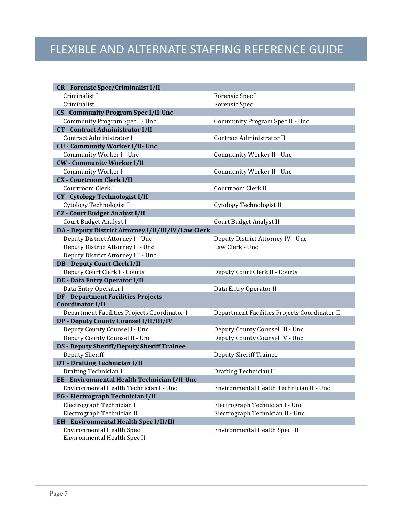| <b>CR</b> - Forensic Spec/Criminalist I/II          |                                               |
|-----------------------------------------------------|-----------------------------------------------|
| Criminalist I                                       | Forensic Spec I                               |
| Criminalist II                                      | Forensic Spec II                              |
| <b>CS - Community Program Spec I/II-Unc</b>         |                                               |
| Community Program Spec I - Unc                      | Community Program Spec II - Unc               |
| <b>CT</b> - Contract Administrator I/II             |                                               |
| Contract Administrator I                            | Contract Administrator II                     |
| <b>CU - Community Worker I/II- Unc</b>              |                                               |
| Community Worker I - Unc                            | Community Worker II - Unc                     |
| <b>CW</b> - Community Worker I/II                   |                                               |
| Community Worker I                                  | Community Worker II - Unc                     |
| <b>CX - Courtroom Clerk I/II</b>                    |                                               |
| Courtroom Clerk I                                   | Courtroom Clerk II                            |
| CY - Cytology Technologist I/II                     |                                               |
| Cytology Technologist I                             | Cytology Technologist II                      |
| <b>CZ</b> - Court Budget Analyst I/II               |                                               |
| Court Budget Analyst I                              | Court Budget Analyst II                       |
| DA - Deputy District Attorney I/II/III/IV/Law Clerk |                                               |
| Deputy District Attorney I - Unc                    | Deputy District Attorney IV - Unc             |
| Deputy District Attorney II - Unc                   | Law Clerk - Unc                               |
| Deputy District Attorney III - Unc                  |                                               |
| <b>DB - Deputy Court Clerk I/II</b>                 |                                               |
| Deputy Court Clerk I - Courts                       | Deputy Court Clerk II - Courts                |
| <b>DE - Data Entry Operator I/II</b>                |                                               |
| Data Entry Operator I                               | Data Entry Operator II                        |
| <b>DF - Department Facilities Projects</b>          |                                               |
| <b>Coordinator I/II</b>                             |                                               |
| Department Facilities Projects Coordinator I        | Department Facilities Projects Coordinator II |
| DP - Deputy County Counsel I/II/III/IV              |                                               |
| Deputy County Counsel I - Unc                       | Deputy County Counsel III - Unc               |
| Deputy County Counsel II - Unc                      | Deputy County Counsel IV - Unc                |
| <b>DS - Deputy Sheriff/Deputy Sheriff Trainee</b>   |                                               |
| Deputy Sheriff                                      | <b>Deputy Sheriff Trainee</b>                 |
| DT - Drafting Technician I/II                       |                                               |
| Drafting Technician I                               | Drafting Technician II                        |
| EE - Environmental Health Technician I/II-Unc       |                                               |
| Environmental Health Technician I - Unc             | Environmental Health Technician II - Unc      |
| <b>EG</b> - Electrograph Technician I/II            |                                               |
| Electrograph Technician I                           | Electrograph Technician I - Unc               |
| Electrograph Technician II                          | Electrograph Technician II - Unc              |
| <b>EH</b> - Environmental Health Spec I/II/III      |                                               |
| Environmental Health Spec I                         | Environmental Health Spec III                 |
| Environmental Health Spec II                        |                                               |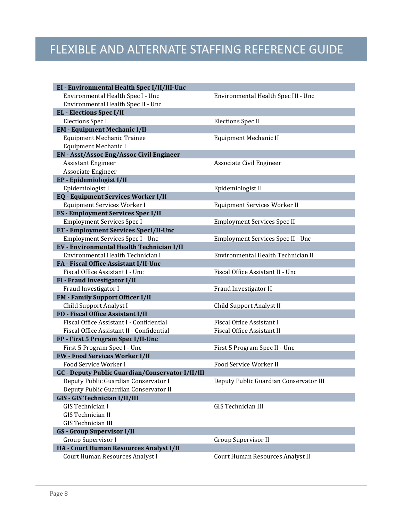| EI - Environmental Health Spec I/II/III-Unc      |                                        |
|--------------------------------------------------|----------------------------------------|
| Environmental Health Spec I - Unc                | Environmental Health Spec III - Unc    |
| Environmental Health Spec II - Unc               |                                        |
| <b>EL</b> - Elections Spec I/II                  |                                        |
| <b>Elections Spec I</b>                          | <b>Elections Spec II</b>               |
| <b>EM - Equipment Mechanic I/II</b>              |                                        |
| <b>Equipment Mechanic Trainee</b>                | Equipment Mechanic II                  |
| Equipment Mechanic I                             |                                        |
| <b>EN</b> - Asst/Assoc Eng/Assoc Civil Engineer  |                                        |
| <b>Assistant Engineer</b>                        | Associate Civil Engineer               |
| Associate Engineer                               |                                        |
| EP - Epidemiologist I/II                         |                                        |
| Epidemiologist I                                 | Epidemiologist II                      |
| <b>EQ</b> - Equipment Services Worker I/II       |                                        |
| Equipment Services Worker I                      | Equipment Services Worker II           |
| <b>ES</b> - Employment Services Spec I/II        |                                        |
| <b>Employment Services Spec I</b>                | <b>Employment Services Spec II</b>     |
| <b>ET - Employment Services SpecI/II-Unc</b>     |                                        |
| Employment Services Spec I - Unc                 | Employment Services Spec II - Unc      |
| <b>EV</b> - Environmental Health Technician I/II |                                        |
| Environmental Health Technician I                | Environmental Health Technician II     |
| FA - Fiscal Office Assistant I/II-Unc            |                                        |
| Fiscal Office Assistant I - Unc                  | Fiscal Office Assistant II - Unc       |
| FI - Fraud Investigator I/II                     |                                        |
| Fraud Investigator I                             | Fraud Investigator II                  |
| FM - Family Support Officer I/II                 |                                        |
| Child Support Analyst I                          | Child Support Analyst II               |
| FO - Fiscal Office Assistant I/II                |                                        |
| Fiscal Office Assistant I - Confidential         | Fiscal Office Assistant I              |
| Fiscal Office Assistant II - Confidential        | <b>Fiscal Office Assistant II</b>      |
| FP - First 5 Program Spec I/II-Unc               |                                        |
| First 5 Program Spec I - Unc                     | First 5 Program Spec II - Unc          |
| <b>FW - Food Services Worker I/II</b>            |                                        |
| Food Service Worker I                            | Food Service Worker II                 |
| GC - Deputy Public Guardian/Conservator I/II/III |                                        |
| Deputy Public Guardian Conservator I             | Deputy Public Guardian Conservator III |
| Deputy Public Guardian Conservator II            |                                        |
| <b>GIS - GIS Technician I/II/III</b>             |                                        |
| GIS Technician I                                 | <b>GIS Technician III</b>              |
| <b>GIS Technician II</b>                         |                                        |
| <b>GIS Technician III</b>                        |                                        |
| <b>GS - Group Supervisor I/II</b>                |                                        |
| Group Supervisor I                               | Group Supervisor II                    |
| <b>HA - Court Human Resources Analyst I/II</b>   |                                        |
| Court Human Resources Analyst I                  | Court Human Resources Analyst II       |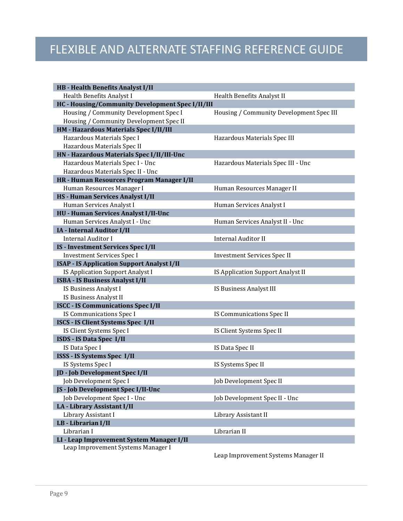| <b>HB</b> - Health Benefits Analyst I/II          |                                          |
|---------------------------------------------------|------------------------------------------|
| Health Benefits Analyst I                         | Health Benefits Analyst II               |
| HC - Housing/Community Development Spec I/II/III  |                                          |
| Housing / Community Development Spec I            | Housing / Community Development Spec III |
| Housing / Community Development Spec II           |                                          |
| HM - Hazardous Materials Spec I/II/III            |                                          |
| Hazardous Materials Spec I                        | Hazardous Materials Spec III             |
| Hazardous Materials Spec II                       |                                          |
| HN - Hazardous Materials Spec I/II/III-Unc        |                                          |
| Hazardous Materials Spec I - Unc                  | Hazardous Materials Spec III - Unc       |
| Hazardous Materials Spec II - Unc                 |                                          |
| HR - Human Resources Program Manager I/II         |                                          |
| Human Resources Manager I                         | Human Resources Manager II               |
| HS - Human Services Analyst I/II                  |                                          |
| Human Services Analyst I                          | Human Services Analyst I                 |
| HU - Human Services Analyst I/II-Unc              |                                          |
| Human Services Analyst I - Unc                    | Human Services Analyst II - Unc          |
| IA - Internal Auditor I/II                        |                                          |
| <b>Internal Auditor I</b>                         | <b>Internal Auditor II</b>               |
| <b>IS - Investment Services Spec I/II</b>         |                                          |
| <b>Investment Services Spec I</b>                 | <b>Investment Services Spec II</b>       |
| <b>ISAP - IS Application Support Analyst I/II</b> |                                          |
| IS Application Support Analyst I                  | IS Application Support Analyst II        |
| <b>ISBA - IS Business Analyst I/II</b>            |                                          |
| IS Business Analyst I                             | IS Business Analyst III                  |
| IS Business Analyst II                            |                                          |
| <b>ISCC - IS Communications Spec I/II</b>         |                                          |
| IS Communications Spec I                          | IS Communications Spec II                |
| ISCS - IS Client Systems Spec I/II                |                                          |
| IS Client Systems Spec I                          | IS Client Systems Spec II                |
| <b>ISDS - IS Data Spec I/II</b>                   |                                          |
| IS Data Spec I                                    | IS Data Spec II                          |
| ISSS - IS Systems Spec I/II                       |                                          |
| IS Systems Spec I                                 | IS Systems Spec II                       |
| JD - Job Development Spec I/II                    |                                          |
| Job Development Spec I                            | Job Development Spec II                  |
| JS - Job Development Spec I/II-Unc                |                                          |
| Job Development Spec I - Unc                      | Job Development Spec II - Unc            |
| LA - Library Assistant I/II                       |                                          |
| Library Assistant I                               | Library Assistant II                     |
| LB - Librarian I/II                               |                                          |
| Librarian I                                       | Librarian II                             |
| LI - Leap Improvement System Manager I/II         |                                          |
| Leap Improvement Systems Manager I                |                                          |

Leap Improvement Systems Manager II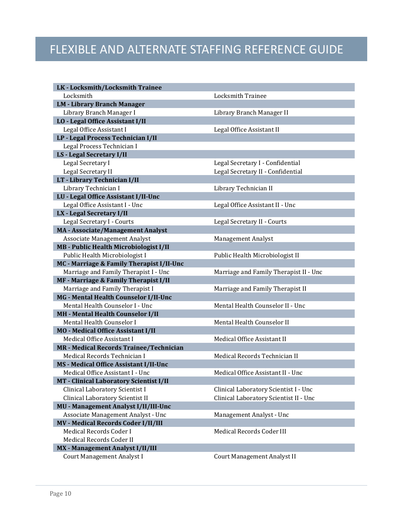| LK - Locksmith/Locksmith Trainee              |                                        |
|-----------------------------------------------|----------------------------------------|
| Locksmith                                     | <b>Locksmith Trainee</b>               |
| <b>LM - Library Branch Manager</b>            |                                        |
| Library Branch Manager I                      | Library Branch Manager II              |
| LO - Legal Office Assistant I/II              |                                        |
| Legal Office Assistant I                      | Legal Office Assistant II              |
| LP - Legal Process Technician I/II            |                                        |
| Legal Process Technician I                    |                                        |
| LS - Legal Secretary I/II                     |                                        |
| Legal Secretary I                             | Legal Secretary I - Confidential       |
| Legal Secretary II                            | Legal Secretary II - Confidential      |
| LT - Library Technician I/II                  |                                        |
| Library Technician I                          | Library Technician II                  |
| LU - Legal Office Assistant I/II-Unc          |                                        |
| Legal Office Assistant I - Unc                | Legal Office Assistant II - Unc        |
| LX - Legal Secretary I/II                     |                                        |
| Legal Secretary I - Courts                    | Legal Secretary II - Courts            |
| <b>MA - Associate/Management Analyst</b>      |                                        |
| Associate Management Analyst                  | <b>Management Analyst</b>              |
| <b>MB</b> - Public Health Microbiologist I/II |                                        |
| Public Health Microbiologist I                | Public Health Microbiologist II        |
| MC - Marriage & Family Therapist I/II-Unc     |                                        |
| Marriage and Family Therapist I - Unc         | Marriage and Family Therapist II - Unc |
| MF - Marriage & Family Therapist I/II         |                                        |
| Marriage and Family Therapist I               | Marriage and Family Therapist II       |
| MG - Mental Health Counselor I/II-Unc         |                                        |
| Mental Health Counselor I - Unc               | Mental Health Counselor II - Unc       |
| MH - Mental Health Counselor I/II             |                                        |
| Mental Health Counselor I                     | Mental Health Counselor II             |
| <b>MO</b> - Medical Office Assistant I/II     |                                        |
| Medical Office Assistant I                    | Medical Office Assistant II            |
| MR - Medical Records Trainee/Technician       |                                        |
| Medical Records Technician I                  | Medical Records Technician II          |
| MS - Medical Office Assistant I/II-Unc        |                                        |
| Medical Office Assistant I - Unc              | Medical Office Assistant II - Unc      |
| MT - Clinical Laboratory Scientist I/II       |                                        |
| Clinical Laboratory Scientist I               | Clinical Laboratory Scientist I - Unc  |
| Clinical Laboratory Scientist II              | Clinical Laboratory Scientist II - Unc |
| MU - Management Analyst I/II/III-Unc          |                                        |
| Associate Management Analyst - Unc            | Management Analyst - Unc               |
| <b>MV - Medical Records Coder I/II/III</b>    |                                        |
| Medical Records Coder I                       | Medical Records Coder III              |
| Medical Records Coder II                      |                                        |
| MX - Management Analyst I/II/III              |                                        |
| Court Management Analyst I                    | Court Management Analyst II            |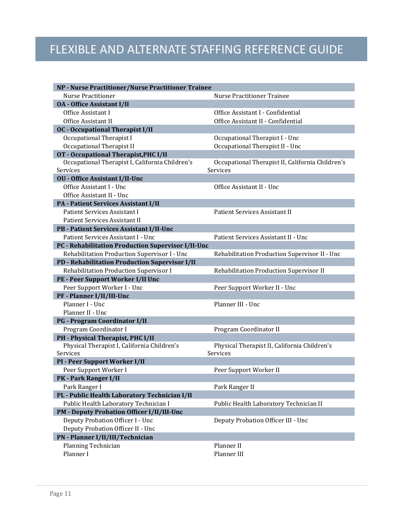| NP - Nurse Practitioner/Nurse Practitioner Trainee |                                                  |
|----------------------------------------------------|--------------------------------------------------|
| <b>Nurse Practitioner</b>                          | <b>Nurse Practitioner Trainee</b>                |
| <b>0A</b> - Office Assistant I/II                  |                                                  |
| Office Assistant I                                 | Office Assistant I - Confidential                |
| Office Assistant II                                | Office Assistant II - Confidential               |
| <b>OC</b> - Occupational Therapist I/II            |                                                  |
| Occupational Therapist I                           | Occupational Therapist I - Unc                   |
| Occupational Therapist II                          | Occupational Therapist II - Unc                  |
| OT - Occupational Therapist, PHC I/II              |                                                  |
| Occupational Therapist I, California Children's    | Occupational Therapist II, California Children's |
| Services                                           | Services                                         |
| <b>OU - Office Assistant I/II-Unc</b>              |                                                  |
| Office Assistant I - Unc                           | Office Assistant II - Unc                        |
| Office Assistant II - Unc                          |                                                  |
| <b>PA - Patient Services Assistant I/II</b>        |                                                  |
| <b>Patient Services Assistant I</b>                | Patient Services Assistant II                    |
| <b>Patient Services Assistant II</b>               |                                                  |
| PB - Patient Services Assistant I/II-Unc           |                                                  |
| Patient Services Assistant I - Unc                 | Patient Services Assistant II - Unc              |
| PC - Rehabilitation Production Supervisor I/II-Unc |                                                  |
| Rehabilitation Production Supervisor I - Unc       | Rehabilitation Production Supervisor II - Unc    |
| PD - Rehabilitation Production Supervisor I/II     |                                                  |
| Rehabilitation Production Supervisor I             | Rehabilitation Production Supervisor II          |
| PE - Peer Support Worker I/II Unc                  |                                                  |
| Peer Support Worker I - Unc                        | Peer Support Worker II - Unc                     |
| PF - Planner I/II/III-Unc                          |                                                  |
| Planner I - Unc                                    | Planner III - Unc                                |
| Planner II - Unc                                   |                                                  |
| <b>PG - Program Coordinator I/II</b>               |                                                  |
| Program Coordinator I                              | Program Coordinator II                           |
| PH - Physical Therapist, PHC I/II                  |                                                  |
| Physical Therapist I, California Children's        | Physical Therapist II, California Children's     |
| Services                                           | Services                                         |
| PI - Peer Support Worker I/II                      |                                                  |
| Peer Support Worker I                              | Peer Support Worker II                           |
| PK - Park Ranger I/II                              |                                                  |
| Park Ranger I                                      | Park Ranger II                                   |
| PL - Public Health Laboratory Technician I/II      |                                                  |
| Public Health Laboratory Technician I              | Public Health Laboratory Technician II           |
| <b>PM - Deputy Probation Officer I/II/III-Unc</b>  |                                                  |
| Deputy Probation Officer I - Unc                   | Deputy Probation Officer III - Unc               |
| Deputy Probation Officer II - Unc                  |                                                  |
| PN - Planner I/II/III/Technician                   |                                                  |
| Planning Technician                                | Planner II                                       |
| Planner I                                          | Planner III                                      |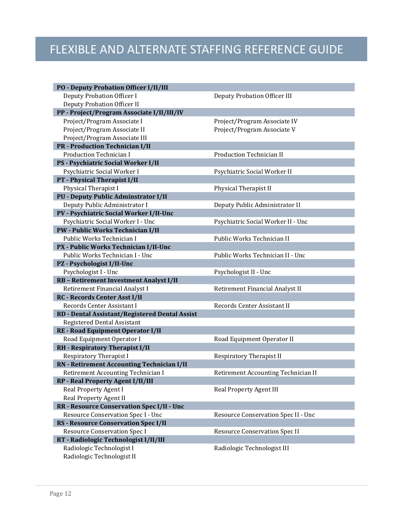| <b>PO - Deputy Probation Officer I/II/III</b>  |
|------------------------------------------------|
| Deputy Probation Officer I                     |
| Deputy Probation Officer II                    |
| PP - Project/Program Associate I/II/III/IV     |
| Project/Program Associate I                    |
| Project/Program Associate II                   |
| Project/Program Associate III                  |
| <b>PR</b> - Production Technician I/II         |
| <b>Production Technician I</b>                 |
| PS - Psychiatric Social Worker I/II            |
| Psychiatric Social Worker I                    |
| PT - Physical Therapist I/II                   |
| Physical Therapist I                           |
| <b>PU - Deputy Public Adminstrator I/II</b>    |
| Deputy Public Administrator I                  |
| PV - Psychiatric Social Worker I/II-Unc        |
| Psychiatric Social Worker I - Unc              |
| PW - Public Works Technician I/II              |
| Public Works Technician I                      |
| PX - Public Works Technician I/II-Unc          |
| Public Works Technician I - Unc                |
| PZ - Psychologist I/II-Unc                     |
| Psychologist I - Unc                           |
| RB - Retirement Investment Analyst I/II        |
| Retirement Financial Analyst I                 |
| <b>RC - Records Center Asst I/II</b>           |
| Records Center Assistant I                     |
| RD - Dental Assistant/Registered Dental Assist |
| Registered Dental Assistant                    |
| RE - Road Equipment Operator I/II              |
| Road Equipment Operator I                      |
| RH - Respiratory Therapist I/II                |
| <b>Respiratory Therapist I</b>                 |
| RN - Retirement Accounting Technician I/II     |
| Retirement Accounting Technician I             |
| <b>RP</b> - Real Property Agent I/II/III       |
| Real Property Agent I                          |
| Real Property Agent II                         |
| RR - Resource Conservation Spec I/II - Unc     |
| Resource Conservation Spec I - Unc             |
| <b>RS - Resource Conservation Spec I/II</b>    |
| <b>Resource Conservation Spec I</b>            |
| RT - Radiologic Technologist I/II/III          |
| Radiologic Technologist I                      |
| Radiologic Technologist II                     |

Deputy Probation Officer III

Project/Program Associate IV Project/Program Associate V

Production Technician II

Psychiatric Social Worker II

Physical Therapist II

Deputy Public Administrator II

Psychiatric Social Worker II - Unc

Public Works Technician II

Public Works Technician II - Unc

Psychologist II - Unc

Retirement Financial Analyst II

Records Center Assistant II

Road Equipment Operator II

Respiratory Therapist II

Retirement Accounting Technician II

Real Property Agent III

Resource Conservation Spec II - Unc

Resource Conservation Spec II

Radiologic Technologist III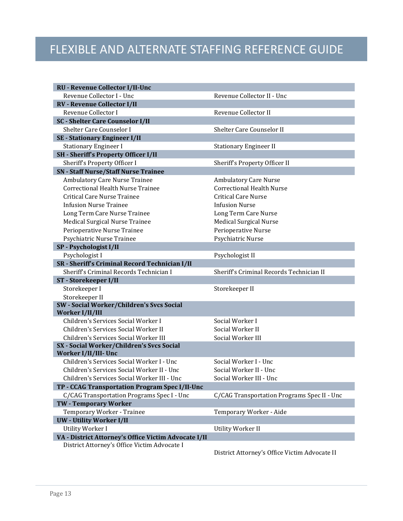| <b>RU - Revenue Collector I/II-Unc</b>                            |                                             |
|-------------------------------------------------------------------|---------------------------------------------|
| Revenue Collector I - Unc                                         | Revenue Collector II - Unc                  |
| <b>RV - Revenue Collector I/II</b>                                |                                             |
| Revenue Collector I                                               | Revenue Collector II                        |
| <b>SC - Shelter Care Counselor I/II</b>                           |                                             |
| Shelter Care Counselor I                                          | <b>Shelter Care Counselor II</b>            |
| <b>SE - Stationary Engineer I/II</b>                              |                                             |
| <b>Stationary Engineer I</b>                                      | <b>Stationary Engineer II</b>               |
| <b>SH</b> - Sheriff's Property Officer I/II                       |                                             |
| Sheriff's Property Officer I                                      | Sheriff's Property Officer II               |
| <b>SN</b> - Staff Nurse/Staff Nurse Trainee                       |                                             |
| Ambulatory Care Nurse Trainee                                     | <b>Ambulatory Care Nurse</b>                |
| <b>Correctional Health Nurse Trainee</b>                          | <b>Correctional Health Nurse</b>            |
| Critical Care Nurse Trainee                                       | <b>Critical Care Nurse</b>                  |
| <b>Infusion Nurse Trainee</b>                                     | <b>Infusion Nurse</b>                       |
| Long Term Care Nurse Trainee                                      | Long Term Care Nurse                        |
| Medical Surgical Nurse Trainee                                    | <b>Medical Surgical Nurse</b>               |
| Perioperative Nurse Trainee                                       | Perioperative Nurse                         |
| Psychiatric Nurse Trainee                                         | Psychiatric Nurse                           |
| SP - Psychologist I/II                                            |                                             |
| Psychologist I                                                    | Psychologist II                             |
| SR - Sheriff's Criminal Record Technician I/II                    |                                             |
| Sheriff's Criminal Records Technician I                           | Sheriff's Criminal Records Technician II    |
| ST - Storekeeper I/II                                             |                                             |
| Storekeeper I                                                     | Storekeeper II                              |
| Storekeeper II                                                    |                                             |
| SW - Social Worker/Children's Svcs Social                         |                                             |
| Worker I/II/III                                                   |                                             |
| Children's Services Social Worker I                               | Social Worker I                             |
| Children's Services Social Worker II                              | Social Worker II                            |
| Children's Services Social Worker III                             | Social Worker III                           |
| SX - Social Worker/Children's Svcs Social                         |                                             |
| Worker I/II/III- Unc<br>Children's Services Social Worker I - Unc |                                             |
|                                                                   | Social Worker I - Unc                       |
| Children's Services Social Worker II - Unc                        | Social Worker II - Unc                      |
| Children's Services Social Worker III - Unc                       | Social Worker III - Unc                     |
| TP - CCAG Transportation Program Spec I/II-Unc                    |                                             |
| C/CAG Transportation Programs Spec I - Unc                        | C/CAG Transportation Programs Spec II - Unc |
| <b>TW - Temporary Worker</b>                                      |                                             |
| Temporary Worker - Trainee                                        | Temporary Worker - Aide                     |
| <b>UW</b> - Utility Worker I/II                                   |                                             |
| <b>Utility Worker I</b>                                           | Utility Worker II                           |
| VA - District Attorney's Office Victim Advocate I/II              |                                             |
| District Attorney's Office Victim Advocate I                      |                                             |

District Attorney's Office Victim Advocate II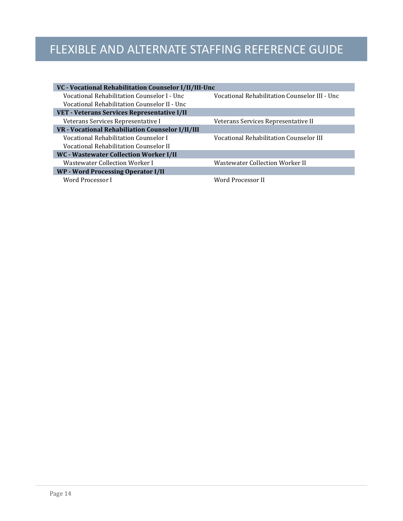| VC - Vocational Rehabilitation Counselor I/II/III-Unc |                                               |
|-------------------------------------------------------|-----------------------------------------------|
| Vocational Rehabilitation Counselor I - Unc           | Vocational Rehabilitation Counselor III - Unc |
| Vocational Rehabilitation Counselor II - Unc          |                                               |
| VET - Veterans Services Representative I/II           |                                               |
| Veterans Services Representative I                    | Veterans Services Representative II           |
| VR - Vocational Rehabiliation Counselor I/II/III      |                                               |
| Vocational Rehabilitation Counselor I                 | Vocational Rehabilitation Counselor III       |
| Vocational Rehabilitation Counselor II                |                                               |
| WC - Wastewater Collection Worker I/II                |                                               |
| Wastewater Collection Worker I                        | <b>Wastewater Collection Worker II</b>        |
| <b>WP</b> - Word Processing Operator I/II             |                                               |
| Word Processor I                                      | Word Processor II                             |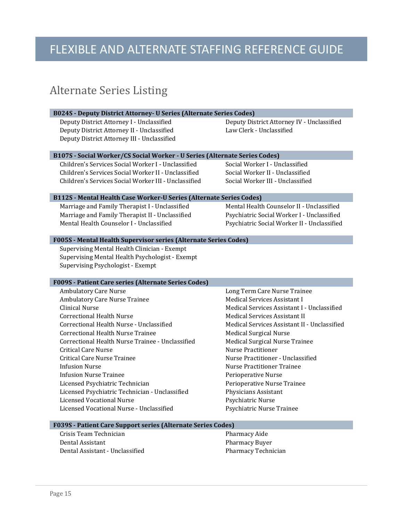#### <span id="page-16-0"></span>Alternate Series Listing

#### **B024S - Deputy District Attorney- U Series (Alternate Series Codes)**

Deputy District Attorney II - Unclassified Deputy District Attorney III - Unclassified

Deputy District Attorney I - Unclassified Deputy District Attorney IV - Unclassified

#### **B107S - Social Worker/CS Social Worker - U Series (Alternate Series Codes)**

Children's Services Social Worker I - Unclassified Social Worker I - Unclassified Children's Services Social Worker II - Unclassified Social Worker II - Unclassified Children's Services Social Worker III - Unclassified

#### **B112S - Mental Health Case Worker-U Series (Alternate Series Codes)**

Marriage and Family Therapist I - Unclassified Mental Health Counselor II - Unclassified<br>Marriage and Family Therapist II - Unclassified Psychiatric Social Worker I - Unclassified Marriage and Family Therapist II - Unclassified<br>Mental Health Counselor I - Unclassified

Psychiatric Social Worker II - Unclassified

#### **F005S - Mental Health Supervisor series (Alternate Series Codes)**

Supervising Mental Health Clinician - Exempt Supervising Mental Health Psychologist - Exempt Supervising Psychologist - Exempt

#### **F009S - Patient Care series (Alternate Series Codes)**

| <b>Ambulatory Care Nurse</b>                     | Long Term Care Nurse Trainee                 |
|--------------------------------------------------|----------------------------------------------|
| <b>Ambulatory Care Nurse Trainee</b>             | Medical Services Assistant I                 |
| Clinical Nurse                                   | Medical Services Assistant I - Unclassified  |
| Correctional Health Nurse                        | Medical Services Assistant II                |
| Correctional Health Nurse - Unclassified         | Medical Services Assistant II - Unclassified |
| Correctional Health Nurse Trainee                | Medical Surgical Nurse                       |
| Correctional Health Nurse Trainee - Unclassified | Medical Surgical Nurse Trainee               |
| Critical Care Nurse                              | Nurse Practitioner                           |
| Critical Care Nurse Trainee                      | Nurse Practitioner - Unclassified            |
| Infusion Nurse                                   | Nurse Practitioner Trainee                   |
| <b>Infusion Nurse Trainee</b>                    | Perioperative Nurse                          |
| Licensed Psychiatric Technician                  | Perioperative Nurse Trainee                  |
| Licensed Psychiatric Technician - Unclassified   | Physicians Assistant                         |
| Licensed Vocational Nurse                        | Psychiatric Nurse                            |
| Licensed Vocational Nurse - Unclassified         | Psychiatric Nurse Trainee                    |
|                                                  |                                              |

#### **F039S - Patient Care Support series (Alternate Series Codes)**

| Crisis Team Technician          | Pharmacy Aide              |
|---------------------------------|----------------------------|
| Dental Assistant                | Pharmacy Buyer             |
| Dental Assistant - Unclassified | <b>Pharmacy Technician</b> |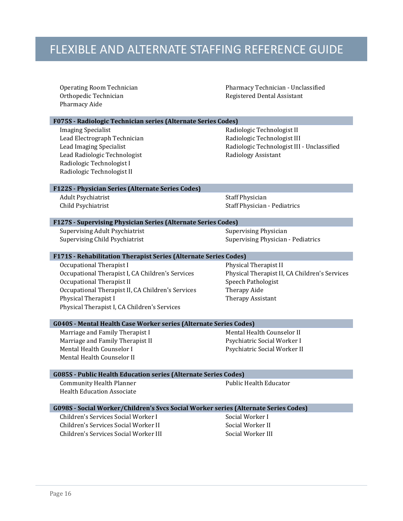| <b>Operating Room Technician</b><br>Orthopedic Technician<br>Pharmacy Aide                                                                                                                                                             | Pharmacy Technician - Unclassified<br>Registered Dental Assistant                                                                 |  |
|----------------------------------------------------------------------------------------------------------------------------------------------------------------------------------------------------------------------------------------|-----------------------------------------------------------------------------------------------------------------------------------|--|
| F075S - Radiologic Technician series (Alternate Series Codes)                                                                                                                                                                          |                                                                                                                                   |  |
| <b>Imaging Specialist</b><br>Lead Electrograph Technician<br>Lead Imaging Specialist<br>Lead Radiologic Technologist<br>Radiologic Technologist I<br>Radiologic Technologist II                                                        | Radiologic Technologist II<br>Radiologic Technologist III<br>Radiologic Technologist III - Unclassified<br>Radiology Assistant    |  |
| F122S - Physician Series (Alternate Series Codes)                                                                                                                                                                                      |                                                                                                                                   |  |
| <b>Adult Psychiatrist</b><br>Child Psychiatrist                                                                                                                                                                                        | <b>Staff Physician</b><br><b>Staff Physician - Pediatrics</b>                                                                     |  |
| F127S - Supervising Physician Series (Alternate Series Codes)                                                                                                                                                                          |                                                                                                                                   |  |
| <b>Supervising Adult Psychiatrist</b>                                                                                                                                                                                                  | <b>Supervising Physician</b>                                                                                                      |  |
| Supervising Child Psychiatrist                                                                                                                                                                                                         | <b>Supervising Physician - Pediatrics</b>                                                                                         |  |
| F171S - Rehabilitation Therapist Series (Alternate Series Codes)                                                                                                                                                                       |                                                                                                                                   |  |
| Occupational Therapist I<br>Occupational Therapist I, CA Children's Services<br>Occupational Therapist II<br>Occupational Therapist II, CA Children's Services<br>Physical Therapist I<br>Physical Therapist I, CA Children's Services | Physical Therapist II<br>Physical Therapist II, CA Children's Services<br>Speech Pathologist<br>Therapy Aide<br>Therapy Assistant |  |
| <b>G040S - Mental Health Case Worker series (Alternate Series Codes)</b>                                                                                                                                                               |                                                                                                                                   |  |
| Marriage and Family Therapist I<br>Marriage and Family Therapist II<br>Mental Health Counselor I<br>Mental Health Counselor II                                                                                                         | Mental Health Counselor II<br>Psychiatric Social Worker I<br>Psychiatric Social Worker II                                         |  |
| <b>G085S - Public Health Education series (Alternate Series Codes)</b>                                                                                                                                                                 |                                                                                                                                   |  |
| <b>Community Health Planner</b><br><b>Health Education Associate</b>                                                                                                                                                                   | <b>Public Health Educator</b>                                                                                                     |  |
| G098S - Social Worker/Children's Svcs Social Worker series (Alternate Series Codes)                                                                                                                                                    |                                                                                                                                   |  |
| Children's Services Social Worker I                                                                                                                                                                                                    | Social Worker I                                                                                                                   |  |
| Children's Services Social Worker II                                                                                                                                                                                                   | Social Worker II                                                                                                                  |  |
| Children's Services Social Worker III                                                                                                                                                                                                  | Social Worker III                                                                                                                 |  |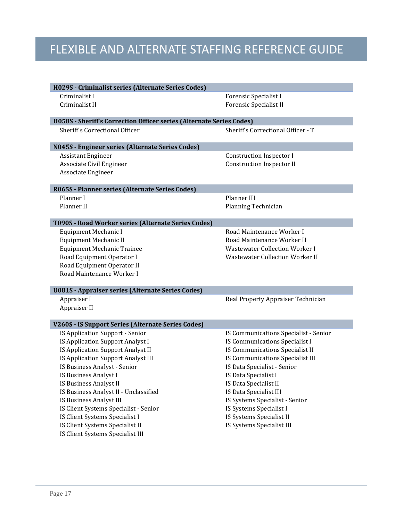| H029S - Criminalist series (Alternate Series Codes)                  |                                                     |  |
|----------------------------------------------------------------------|-----------------------------------------------------|--|
| Criminalist I                                                        | Forensic Specialist I                               |  |
| Criminalist II                                                       | <b>Forensic Specialist II</b>                       |  |
|                                                                      |                                                     |  |
| H058S - Sheriff's Correction Officer series (Alternate Series Codes) |                                                     |  |
| Sheriff's Correctional Officer                                       | Sheriff's Correctional Officer - T                  |  |
|                                                                      |                                                     |  |
| N045S - Engineer series (Alternate Series Codes)                     |                                                     |  |
| <b>Assistant Engineer</b>                                            | <b>Construction Inspector I</b>                     |  |
| Associate Civil Engineer                                             | <b>Construction Inspector II</b>                    |  |
| Associate Engineer                                                   |                                                     |  |
| R065S - Planner series (Alternate Series Codes)                      |                                                     |  |
| Planner I                                                            | Planner III                                         |  |
| Planner II                                                           | Planning Technician                                 |  |
|                                                                      |                                                     |  |
| T090S - Road Worker series (Alternate Series Codes)                  |                                                     |  |
| Equipment Mechanic I                                                 | Road Maintenance Worker I                           |  |
| Equipment Mechanic II                                                | Road Maintenance Worker II                          |  |
| <b>Equipment Mechanic Trainee</b>                                    | <b>Wastewater Collection Worker I</b>               |  |
| Road Equipment Operator I                                            | <b>Wastewater Collection Worker II</b>              |  |
| Road Equipment Operator II                                           |                                                     |  |
| Road Maintenance Worker I                                            |                                                     |  |
|                                                                      |                                                     |  |
| <b>U081S - Appraiser series (Alternate Series Codes)</b>             |                                                     |  |
| Appraiser I                                                          | Real Property Appraiser Technician                  |  |
| Appraiser II                                                         |                                                     |  |
|                                                                      |                                                     |  |
| V260S - IS Support Series (Alternate Series Codes)                   |                                                     |  |
| IS Application Support - Senior                                      | IS Communications Specialist - Senior               |  |
| IS Application Support Analyst I                                     | IS Communications Specialist I                      |  |
| IS Application Support Analyst II                                    | IS Communications Specialist II                     |  |
| IS Application Support Analyst III                                   | IS Communications Specialist III                    |  |
| IS Business Analyst - Senior<br>IS Business Analyst I                | IS Data Specialist - Senior<br>IS Data Specialist I |  |
|                                                                      |                                                     |  |
| IS Business Analyst II                                               | IS Data Specialist II                               |  |
| IS Business Analyst II - Unclassified                                | IS Data Specialist III                              |  |
| IS Business Analyst III<br>IS Client Systems Specialist - Senior     | IS Systems Specialist - Senior                      |  |
|                                                                      | IS Systems Specialist I                             |  |
| IS Client Systems Specialist I                                       | IS Systems Specialist II                            |  |
| IS Client Systems Specialist II                                      | IS Systems Specialist III                           |  |
| IS Client Systems Specialist III                                     |                                                     |  |